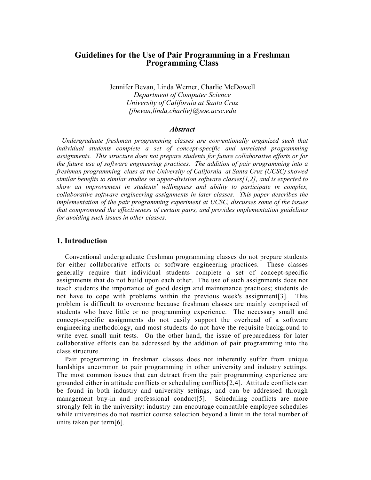# **Guidelines for the Use of Pair Programming in a Freshman Programming Class**

Jennifer Bevan, Linda Werner, Charlie McDowell *Department of Computer Science University of California at Santa Cruz {jbevan,linda,charlie}@soe.ucsc.edu*

### *Abstract*

 *Undergraduate freshman programming classes are conventionally organized such that*  individual students complete a set of concept-specific and unrelated programming *assignments. This structure does not prepare students for future collaborative efforts or for the future use of software engineering practices. The addition of pair programming into a freshman programming class at the University of California at Santa Cruz (UCSC) showed similar benefits to similar studies on upper-division software classes[1,2], and is expected to show an improvement in students' willingness and ability to participate in complex, collaborative software engineering assignments in later classes. This paper describes the implementation of the pair programming experiment at UCSC, discusses some of the issues that compromised the effectiveness of certain pairs, and provides implementation guidelines for avoiding such issues in other classes.* 

# **1. Introduction**

Conventional undergraduate freshman programming classes do not prepare students for either collaborative efforts or software engineering practices. These classes generally require that individual students complete a set of concept-specific assignments that do not build upon each other. The use of such assignments does not teach students the importance of good design and maintenance practices; students do not have to cope with problems within the previous week's assignment[3]. This problem is difficult to overcome because freshman classes are mainly comprised of students who have little or no programming experience. The necessary small and concept-specific assignments do not easily support the overhead of a software engineering methodology, and most students do not have the requisite background to write even small unit tests. On the other hand, the issue of preparedness for later collaborative efforts can be addressed by the addition of pair programming into the class structure.

Pair programming in freshman classes does not inherently suffer from unique hardships uncommon to pair programming in other university and industry settings. The most common issues that can detract from the pair programming experience are grounded either in attitude conflicts or scheduling conflicts[2,4]. Attitude conflicts can be found in both industry and university settings, and can be addressed through management buy-in and professional conduct [5]. Scheduling conflicts are more strongly felt in the university: industry can encourage compatible employee schedules while universities do not restrict course selection beyond a limit in the total number of units taken per term[6].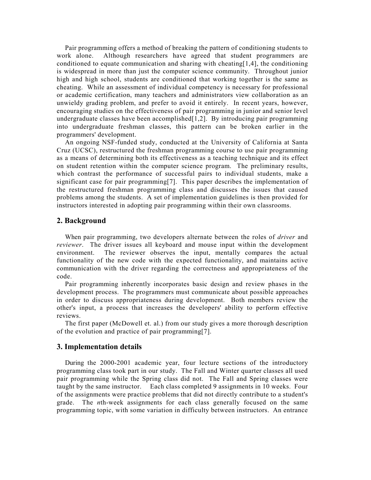Pair programming offers a method of breaking the pattern of conditioning students to work alone. Although researchers have agreed that student programmers are conditioned to equate communication and sharing with cheating[1,4], the conditioning is widespread in more than just the computer science community. Throughout junior high and high school, students are conditioned that working together is the same as cheating. While an assessment of individual competency is necessary for professional or academic certification, many teachers and administrators view collaboration as an unwieldy grading problem, and prefer to avoid it entirely. In recent years, however, encouraging studies on the effectiveness of pair programming in junior and senior level undergraduate classes have been accomplished $[1,2]$ . By introducing pair programming into undergraduate freshman classes, this pattern can be broken earlier in the programmers' development.

An ongoing NSF-funded study, conducted at the University of California at Santa Cruz (UCSC), restructured the freshman programming course to use pair programming as a means of determining both its effectiveness as a teaching technique and its effect on student retention within the computer science program. The preliminary results, which contrast the performance of successful pairs to individual students, make a significant case for pair programming[7]. This paper describes the implementation of the restructured freshman programming class and discusses the issues that caused problems among the students. A set of implementation guidelines is then provided for instructors interested in adopting pair programming within their own classrooms.

### **2. Background**

When pair programming, two developers alternate between the roles of *driver* and *reviewer*. The driver issues all keyboard and mouse input within the development environment. The reviewer observes the input, mentally compares the actual functionality of the new code with the expected functionality, and maintains active communication with the driver regarding the correctness and appropriateness of the code.

Pair programming inherently incorporates basic design and review phases in the development process. The programmers must communicate about possible approaches in order to discuss appropriateness during development. Both members review the other's input, a process that increases the developers' ability to perform effective reviews.

The first paper (McDowell et. al.) from our study gives a more thorough description of the evolution and practice of pair programming[7].

### **3. Implementation details**

During the 2000-2001 academic year, four lecture sections of the introductory programming class took part in our study. The Fall and Winter quarter classes all used pair programming while the Spring class did not. The Fall and Spring classes were taught by the same instructor. Each class completed 9 assignments in 10 weeks. Four of the assignments were practice problems that did not directly contribute to a student's grade. The *n*th-week assignments for each class generally focused on the same programming topic, with some variation in difficulty between instructors. An entrance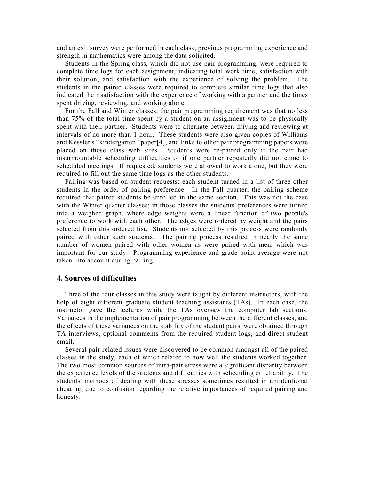and an exit survey were performed in each class; previous programming experience and strength in mathematics were among the data solicited.

Students in the Spring class, which did not use pair programming, were required to complete time logs for each assignment, indicating total work time, satisfaction with their solution, and satisfaction with the experience of solving the problem. The students in the paired classes were required to complete similar time logs that also indicated their satisfaction with the experience of working with a partner and the times spent driving, reviewing, and working alone.

For the Fall and Winter classes, the pair programming requirement was that no less than 75% of the total time spent by a student on an assignment was to be physically spent with their partner. Students were to alternate between driving and reviewing at intervals of no more than 1 hour. These students were also given copies of Williams and Kessler's "kindergarten" paper[4], and links to other pair programming papers were placed on those class web sites. Students were re-paired only if the pair had insurmountable scheduling difficulties or if one partner repeatedly did not come to scheduled meetings. If requested, students were allowed to work alone, but they were required to fill out the same time logs as the other students.

Pairing was based on student requests: each student turned in a list of three other students in the order of pairing preference. In the Fall quarter, the pairing scheme required that paired students be enrolled in the same section. This was not the case with the Winter quarter classes; in those classes the students' preferences were turned into a weighed graph, where edge weights were a linear function of two people's preference to work with each other. The edges were ordered by weight and the pairs selected from this ordered list. Students not selected by this process were randomly paired with other such students. The pairing process resulted in nearly the same number of women paired with other women as were paired with men, which was important for our study. Programming experience and grade point average were not taken into account during pairing.

# **4. Sources of difficulties**

Three of the four classes in this study were taught by different instructors, with the help of eight different graduate student teaching assistants (TAs). In each case, the instructor gave the lectures while the TAs oversaw the computer lab sections. Variances in the implementation of pair programming between the different classes, and the effects of these variances on the stability of the student pairs, were obtained through TA interviews, optional comments from the required student logs, and direct student email.

Several pair-related issues were discovered to be common amongst all of the paired classes in the study, each of which related to how well the students worked together. The two most common sources of intra-pair stress were a significant disparity between the experience levels of the students and difficulties with scheduling or reliability. The students' methods of dealing with these stresses sometimes resulted in unintentional cheating, due to confusion regarding the relative importances of required pairing and honesty.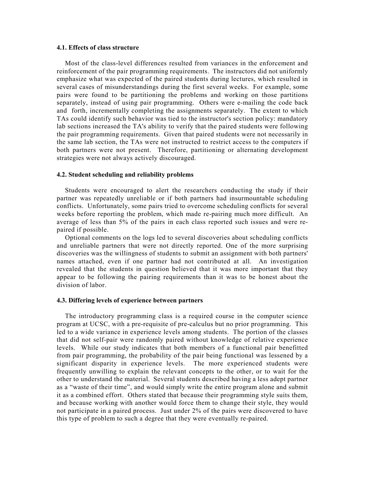#### **4.1. Effects of class structure**

Most of the class-level differences resulted from variances in the enforcement and reinforcement of the pair programming requirements. The instructors did not uniformly emphasize what was expected of the paired students during lectures, which resulted in several cases of misunderstandings during the first several weeks. For example, some pairs were found to be partitioning the problems and working on those partitions separately, instead of using pair programming. Others were e-mailing the code back and forth, incrementally completing the assignments separately. The extent to which TAs could identify such behavior was tied to the instructor's section policy: mandatory lab sections increased the TA's ability to verify that the paired students were following the pair programming requirements. Given that paired students were not necessarily in the same lab section, the TAs were not instructed to restrict access to the computers if both partners were not present. Therefore, partitioning or alternating development strategies were not always actively discouraged.

#### **4.2. Student scheduling and reliability problems**

Students were encouraged to alert the researchers conducting the study if their partner was repeatedly unreliable or if both partners had insurmountable scheduling conflicts. Unfortunately, some pairs tried to overcome scheduling conflicts for several weeks before reporting the problem, which made re-pairing much more difficult. An average of less than 5% of the pairs in each class reported such issues and were repaired if possible.

Optional comments on the logs led to several discoveries about scheduling conflicts and unreliable partners that were not directly reported. One of the more surprising discoveries was the willingness of students to submit an assignment with both partners' names attached, even if one partner had not contributed at all. An investigation revealed that the students in question believed that it was more important that they appear to be following the pairing requirements than it was to be honest about the division of labor.

#### **4.3. Differing levels of experience between partners**

The introductory programming class is a required course in the computer science program at UCSC, with a pre-requisite of pre-calculus but no prior programming. This led to a wide variance in experience levels among students. The portion of the classes that did not self-pair were randomly paired without knowledge of relative experience levels. While our study indicates that both members of a functional pair benefitted from pair programming, the probability of the pair being functional was lessened by a significant disparity in experience levels. The more experienced students were frequently unwilling to explain the relevant concepts to the other, or to wait for the other to understand the material. Several students described having a less adept partner as a "waste of their time", and would simply write the entire program alone and submit it as a combined effort. Others stated that because their programming style suits them, and because working with another would force them to change their style, they would not participate in a paired process. Just under 2% of the pairs were discovered to have this type of problem to such a degree that they were eventually re-paired.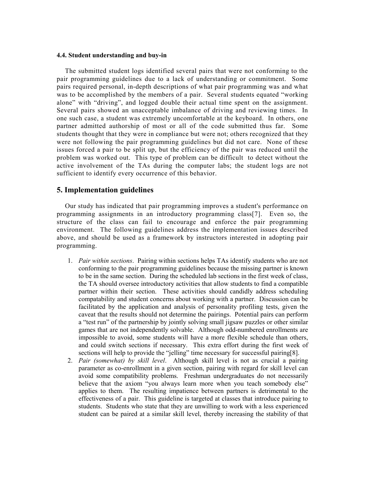#### **4.4. Student understanding and buy-in**

The submitted student logs identified several pairs that were not conforming to the pair programming guidelines due to a lack of understanding or commitment. Some pairs required personal, in-depth descriptions of what pair programming was and what was to be accomplished by the members of a pair. Several students equated "working alone" with "driving", and logged double their actual time spent on the assignment. Several pairs showed an unacceptable imbalance of driving and reviewing times. In one such case, a student was extremely uncomfortable at the keyboard. In others, one partner admitted authorship of most or all of the code submitted thus far. Some students thought that they were in compliance but were not; others recognized that they were not following the pair programming guidelines but did not care. None of these issues forced a pair to be split up, but the efficiency of the pair was reduced until the problem was worked out. This type of problem can be difficult to detect without the active involvement of the TAs during the computer labs; the student logs are not sufficient to identify every occurrence of this behavior.

# **5. Implementation guidelines**

Our study has indicated that pair programming improves a student's performance on programming assignments in an introductory programming class[7]. Even so, the structure of the class can fail to encourage and enforce the pair programming environment. The following guidelines address the implementation issues described above, and should be used as a framework by instructors interested in adopting pair programming.

- 1. *Pair within sections*. Pairing within sections helps TAs identify students who are not conforming to the pair programming guidelines because the missing partner is known to be in the same section. During the scheduled lab sections in the first week of class, the TA should oversee introductory activities that allow students to find a compatible partner within their section. These activities should candidly address scheduling compatability and student concerns about working with a partner. Discussion can be facilitated by the application and analysis of personality profiling tests, given the caveat that the results should not determine the pairings. Potential pairs can perform a "test run" of the partnership by jointly solving small jigsaw puzzles or other similar games that are not independently solvable. Although odd-numbered enrollments are impossible to avoid, some students will have a more flexible schedule than others, and could switch sections if necessary. This extra effort during the first week of sections will help to provide the "jelling" time necessary for successful pairing[8].
- 2. *Pair (somewhat) by skill level*. Although skill level is not as crucial a pairing parameter as co-enrollment in a given section, pairing with regard for skill level can avoid some compatibility problems. Freshman undergraduates do not necessarily believe that the axiom "you always learn more when you teach somebody else" applies to them. The resulting impatience between partners is detrimental to the effectiveness of a pair. This guideline is targeted at classes that introduce pairing to students. Students who state that they are unwilling to work with a less experienced student can be paired at a similar skill level, thereby increasing the stability of that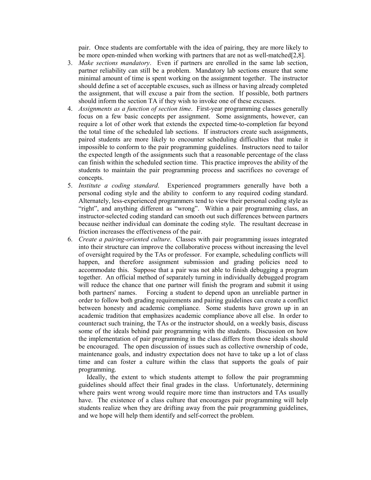pair. Once students are comfortable with the idea of pairing, they are more likely to be more open-minded when working with partners that are not as well-matched $[2,8]$ .

- 3. *Make sections mandatory*. Even if partners are enrolled in the same lab section, partner reliability can still be a problem. Mandatory lab sections ensure that some minimal amount of time is spent working on the assignment together. The instructor should define a set of acceptable excuses, such as illness or having already completed the assignment, that will excuse a pair from the section. If possible, both partners should inform the section TA if they wish to invoke one of these excuses.
- 4. *Assignments as a function of section time*. First-year programming classes generally focus on a few basic concepts per assignment. Some assignments, however, can require a lot of other work that extends the expected time-to-completion far beyond the total time of the scheduled lab sections. If instructors create such assignments, paired students are more likely to encounter scheduling difficulties that make it impossible to conform to the pair programming guidelines. Instructors need to tailor the expected length of the assignments such that a reasonable percentage of the class can finish within the scheduled section time. This practice improves the ability of the students to maintain the pair programming process and sacrifices no coverage of concepts.
- 5. *Institute a coding standard*. Experienced programmers generally have both a personal coding style and the ability to conform to any required coding standard. Alternately, less-experienced programmers tend to view their personal coding style as "right", and anything different as "wrong". Within a pair programming class, an instructor-selected coding standard can smooth out such differences between partners because neither individual can dominate the coding style. The resultant decrease in friction increases the effectiveness of the pair.
- 6. *Create a pairing-oriented culture*. Classes with pair programming issues integrated into their structure can improve the collaborative process without increasing the level of oversight required by the TAs or professor. For example, scheduling conflicts will happen, and therefore assignment submission and grading policies need to accommodate this. Suppose that a pair was not able to finish debugging a program together. An official method of separately turning in individually debugged program will reduce the chance that one partner will finish the program and submit it using both partners' names. Forcing a student to depend upon an unreliable partner in order to follow both grading requirements and pairing guidelines can create a conflict between honesty and academic compliance. Some students have grown up in an academic tradition that emphasizes academic compliance above all else. In order to counteract such training, the TAs or the instructor should, on a weekly basis, discuss some of the ideals behind pair programming with the students. Discussion on how the implementation of pair programming in the class differs from those ideals should be encouraged. The open discussion of issues such as collective ownership of code, maintenance goals, and industry expectation does not have to take up a lot of class time and can foster a culture within the class that supports the goals of pair programming.

Ideally, the extent to which students attempt to follow the pair programming guidelines should affect their final grades in the class. Unfortunately, determining where pairs went wrong would require more time than instructors and TAs usually have. The existence of a class culture that encourages pair programming will help students realize when they are drifting away from the pair programming guidelines, and we hope will help them identify and self-correct the problem.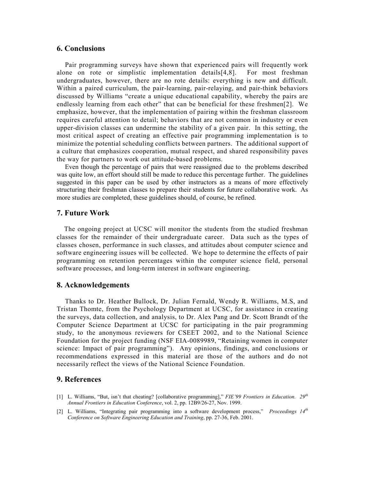## **6. Conclusions**

Pair programming surveys have shown that experienced pairs will frequently work alone on rote or simplistic implementation details[4,8]. For most freshman undergraduates, however, there are no rote details: everything is new and difficult. Within a paired curriculum, the pair-learning, pair-relaying, and pair-think behaviors discussed by Williams "create a unique educational capability, whereby the pairs are endlessly learning from each other" that can be beneficial for these freshmen[2]. We emphasize, however, that the implementation of pairing within the freshman classroom requires careful attention to detail; behaviors that are not common in industry or even upper-division classes can undermine the stability of a given pair. In this setting, the most critical aspect of creating an effective pair programming implementation is to minimize the potential scheduling conflicts between partners. The additional support of a culture that emphasizes cooperation, mutual respect, and shared responsibility paves the way for partners to work out attitude-based problems.

Even though the percentage of pairs that were reassigned due to the problems described was quite low, an effort should still be made to reduce this percentage further. The guidelines suggested in this paper can be used by other instructors as a means of more effectively structuring their freshman classes to prepare their students for future collaborative work. As more studies are completed, these guidelines should, of course, be refined.

## **7. Future Work**

The ongoing project at UCSC will monitor the students from the studied freshman classes for the remainder of their undergraduate career. Data such as the types of classes chosen, performance in such classes, and attitudes about computer science and software engineering issues will be collected. We hope to determine the effects of pair programming on retention percentages within the computer science field, personal software processes, and long-term interest in software engineering.

## **8. Acknowledgements**

Thanks to Dr. Heather Bullock, Dr. Julian Fernald, Wendy R. Williams, M.S, and Tristan Thomte, from the Psychology Department at UCSC, for assistance in creating the surveys, data collection, and analysis, to Dr. Alex Pang and Dr. Scott Brandt of the Computer Science Department at UCSC for participating in the pair programming study, to the anonymous reviewers for CSEET 2002, and to the National Science Foundation for the project funding (NSF EIA-0089989, "Retaining women in computer science: Impact of pair programming"). Any opinions, findings, and conclusions or recommendations expressed in this material are those of the authors and do not necessarily reflect the views of the National Science Foundation.

## **9. References**

- [1] L. Williams, "But, isn't that cheating? [collaborative programming]," *FIE'99 Frontiers in Education. 29th Annual Frontiers in Education Conference*, vol. 2, pp. 12B9/26-27, Nov. 1999.
- [2] L. Williams, "Integrating pair programming into a software development process," *Proceedings 14th Conference on Software Engineering Education and Training*, pp. 27-36, Feb. 2001.